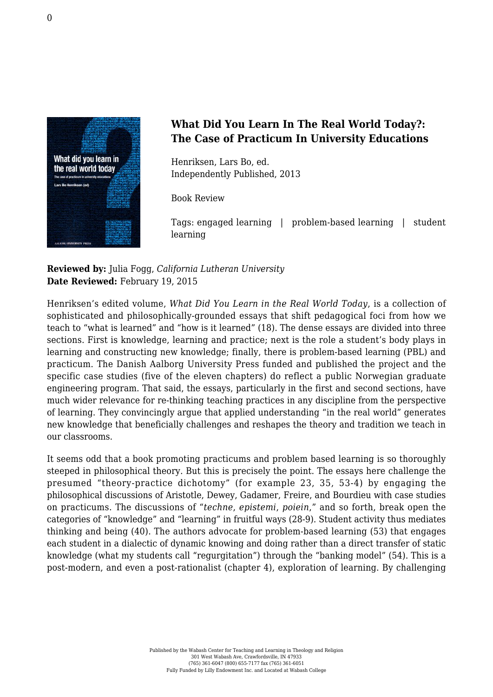

## **What Did You Learn In The Real World Today?: The Case of Practicum In University Educations**

Henriksen, Lars Bo, ed. [Independently Published, 2013](http://www.isbs.com/products/9788771120738)

Book Review

Tags: engaged learning | problem-based learning | student learning

## **Reviewed by:** Julia Fogg, *California Lutheran University* **Date Reviewed:** February 19, 2015

Henriksen's edited volume, *What Did You Learn in the Real World Today*, is a collection of sophisticated and philosophically-grounded essays that shift pedagogical foci from how we teach to "what is learned" and "how is it learned" (18). The dense essays are divided into three sections. First is knowledge, learning and practice; next is the role a student's body plays in learning and constructing new knowledge; finally, there is problem-based learning (PBL) and practicum. The Danish Aalborg University Press funded and published the project and the specific case studies (five of the eleven chapters) do reflect a public Norwegian graduate engineering program. That said, the essays, particularly in the first and second sections, have much wider relevance for re-thinking teaching practices in any discipline from the perspective of learning. They convincingly argue that applied understanding "in the real world" generates new knowledge that beneficially challenges and reshapes the theory and tradition we teach in our classrooms.

It seems odd that a book promoting practicums and problem based learning is so thoroughly steeped in philosophical theory. But this is precisely the point. The essays here challenge the presumed "theory-practice dichotomy" (for example 23, 35, 53-4) by engaging the philosophical discussions of Aristotle, Dewey, Gadamer, Freire, and Bourdieu with case studies on practicums. The discussions of "*techne*, *epistemi*, *poiein*," and so forth, break open the categories of "knowledge" and "learning" in fruitful ways (28-9). Student activity thus mediates thinking and being (40). The authors advocate for problem-based learning (53) that engages each student in a dialectic of dynamic knowing and doing rather than a direct transfer of static knowledge (what my students call "regurgitation") through the "banking model" (54). This is a post-modern, and even a post-rationalist (chapter 4), exploration of learning. By challenging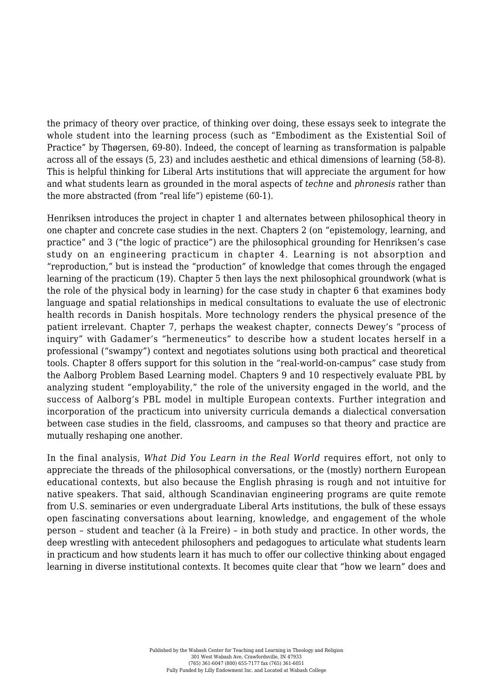the primacy of theory over practice, of thinking over doing, these essays seek to integrate the whole student into the learning process (such as "Embodiment as the Existential Soil of Practice" by Thøgersen, 69-80). Indeed, the concept of learning as transformation is palpable across all of the essays (5, 23) and includes aesthetic and ethical dimensions of learning (58-8). This is helpful thinking for Liberal Arts institutions that will appreciate the argument for how and what students learn as grounded in the moral aspects of *techne* and *phronesis* rather than the more abstracted (from "real life") episteme (60-1).

Henriksen introduces the project in chapter 1 and alternates between philosophical theory in one chapter and concrete case studies in the next. Chapters 2 (on "epistemology, learning, and practice" and 3 ("the logic of practice") are the philosophical grounding for Henriksen's case study on an engineering practicum in chapter 4. Learning is not absorption and "reproduction," but is instead the "production" of knowledge that comes through the engaged learning of the practicum (19). Chapter 5 then lays the next philosophical groundwork (what is the role of the physical body in learning) for the case study in chapter 6 that examines body language and spatial relationships in medical consultations to evaluate the use of electronic health records in Danish hospitals. More technology renders the physical presence of the patient irrelevant. Chapter 7, perhaps the weakest chapter, connects Dewey's "process of inquiry" with Gadamer's "hermeneutics" to describe how a student locates herself in a professional ("swampy") context and negotiates solutions using both practical and theoretical tools. Chapter 8 offers support for this solution in the "real-world-on-campus" case study from the Aalborg Problem Based Learning model. Chapters 9 and 10 respectively evaluate PBL by analyzing student "employability," the role of the university engaged in the world, and the success of Aalborg's PBL model in multiple European contexts. Further integration and incorporation of the practicum into university curricula demands a dialectical conversation between case studies in the field, classrooms, and campuses so that theory and practice are mutually reshaping one another.

In the final analysis, *What Did You Learn in the Real World* requires effort, not only to appreciate the threads of the philosophical conversations, or the (mostly) northern European educational contexts, but also because the English phrasing is rough and not intuitive for native speakers. That said, although Scandinavian engineering programs are quite remote from U.S. seminaries or even undergraduate Liberal Arts institutions, the bulk of these essays open fascinating conversations about learning, knowledge, and engagement of the whole person – student and teacher (à la Freire) – in both study and practice. In other words, the deep wrestling with antecedent philosophers and pedagogues to articulate what students learn in practicum and how students learn it has much to offer our collective thinking about engaged learning in diverse institutional contexts. It becomes quite clear that "how we learn" does and